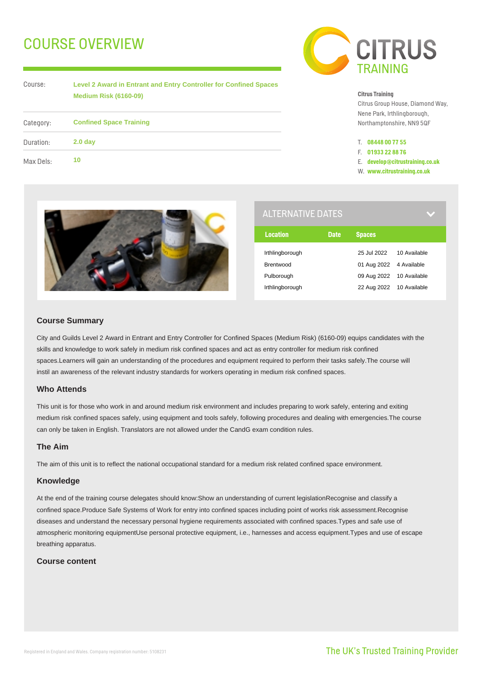# COURSE OVERVIEW



| Course:   | <b>Level 2 Award in Entrant and Entry Controller for Confined Spaces</b><br><b>Medium Risk (6160-09)</b> |  |
|-----------|----------------------------------------------------------------------------------------------------------|--|
| Category: | <b>Confined Space Training</b>                                                                           |  |
| Duration: | 2.0 <sub>day</sub>                                                                                       |  |
| Max Dels: | 10                                                                                                       |  |

#### **Citrus Training**

Citrus Group House, Diamond Way, Nene Park, Irthlingborough, Northamptonshire, NN9 5QF

- T. **08448 00 77 55**
- F. **01933 22 88 76**
- E. **develop@citrustraining.co.uk**
- W. **www.citrustraining.co.uk**



| <b>ALTERNATIVE DATES</b> |                          |              |  |  |
|--------------------------|--------------------------|--------------|--|--|
| <b>Date</b>              | <b>Spaces</b>            |              |  |  |
|                          | 25 Jul 2022              | 10 Available |  |  |
|                          | 01 Aug 2022 4 Available  |              |  |  |
|                          | 09 Aug 2022 10 Available |              |  |  |
|                          | 22 Aug 2022 10 Available |              |  |  |
|                          |                          |              |  |  |

## **Course Summary**

City and Guilds Level 2 Award in Entrant and Entry Controller for Confined Spaces (Medium Risk) (6160-09) equips candidates with the skills and knowledge to work safely in medium risk confined spaces and act as entry controller for medium risk confined spaces.Learners will gain an understanding of the procedures and equipment required to perform their tasks safely.The course will instil an awareness of the relevant industry standards for workers operating in medium risk confined spaces.

# **Who Attends**

This unit is for those who work in and around medium risk environment and includes preparing to work safely, entering and exiting medium risk confined spaces safely, using equipment and tools safely, following procedures and dealing with emergencies.The course can only be taken in English. Translators are not allowed under the CandG exam condition rules.

# **The Aim**

The aim of this unit is to reflect the national occupational standard for a medium risk related confined space environment.

#### **Knowledge**

At the end of the training course delegates should know:Show an understanding of current legislationRecognise and classify a confined space.Produce Safe Systems of Work for entry into confined spaces including point of works risk assessment.Recognise diseases and understand the necessary personal hygiene requirements associated with confined spaces.Types and safe use of atmospheric monitoring equipmentUse personal protective equipment, i.e., harnesses and access equipment.Types and use of escape breathing apparatus.

# **Course content**